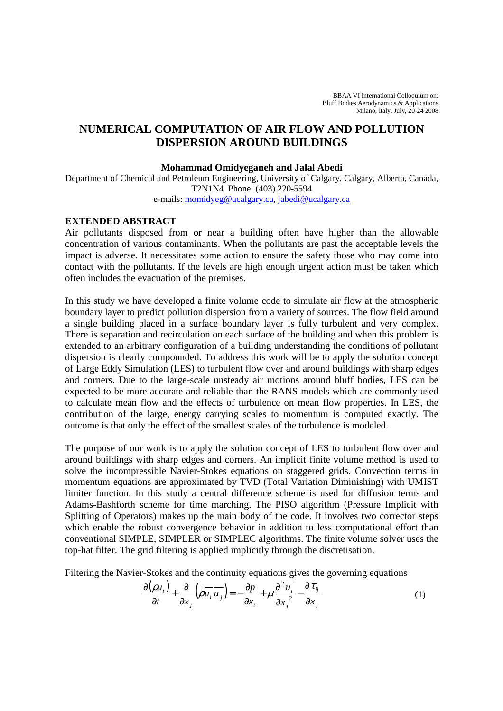## **NUMERICAL COMPUTATION OF AIR FLOW AND POLLUTION DISPERSION AROUND BUILDINGS**

## **Mohammad Omidyeganeh and Jalal Abedi**

Department of Chemical and Petroleum Engineering, University of Calgary, Calgary, Alberta, Canada, T2N1N4 Phone: (403) 220-5594 e-mails: momidyeg@ucalgary.ca, jabedi@ucalgary.ca

## **EXTENDED ABSTRACT**

Air pollutants disposed from or near a building often have higher than the allowable concentration of various contaminants. When the pollutants are past the acceptable levels the impact is adverse. It necessitates some action to ensure the safety those who may come into contact with the pollutants. If the levels are high enough urgent action must be taken which often includes the evacuation of the premises.

In this study we have developed a finite volume code to simulate air flow at the atmospheric boundary layer to predict pollution dispersion from a variety of sources. The flow field around a single building placed in a surface boundary layer is fully turbulent and very complex. There is separation and recirculation on each surface of the building and when this problem is extended to an arbitrary configuration of a building understanding the conditions of pollutant dispersion is clearly compounded. To address this work will be to apply the solution concept of Large Eddy Simulation (LES) to turbulent flow over and around buildings with sharp edges and corners. Due to the large-scale unsteady air motions around bluff bodies, LES can be expected to be more accurate and reliable than the RANS models which are commonly used to calculate mean flow and the effects of turbulence on mean flow properties. In LES, the contribution of the large, energy carrying scales to momentum is computed exactly. The outcome is that only the effect of the smallest scales of the turbulence is modeled.

The purpose of our work is to apply the solution concept of LES to turbulent flow over and around buildings with sharp edges and corners. An implicit finite volume method is used to solve the incompressible Navier-Stokes equations on staggered grids. Convection terms in momentum equations are approximated by TVD (Total Variation Diminishing) with UMIST limiter function. In this study a central difference scheme is used for diffusion terms and Adams-Bashforth scheme for time marching. The PISO algorithm (Pressure Implicit with Splitting of Operators) makes up the main body of the code. It involves two corrector steps which enable the robust convergence behavior in addition to less computational effort than conventional SIMPLE, SIMPLER or SIMPLEC algorithms. The finite volume solver uses the top-hat filter. The grid filtering is applied implicitly through the discretisation.

Filtering the Navier-Stokes and the continuity equations gives the governing equations

$$
\frac{\partial(\rho \overline{u_i})}{\partial t} + \frac{\partial}{\partial x_j} (\rho \overline{u_i} \overline{u_j}) = -\frac{\partial \overline{p}}{\partial x_i} + \mu \frac{\partial^2 u_i}{\partial x_j^2} - \frac{\partial \tau_{ij}}{\partial x_j}
$$
(1)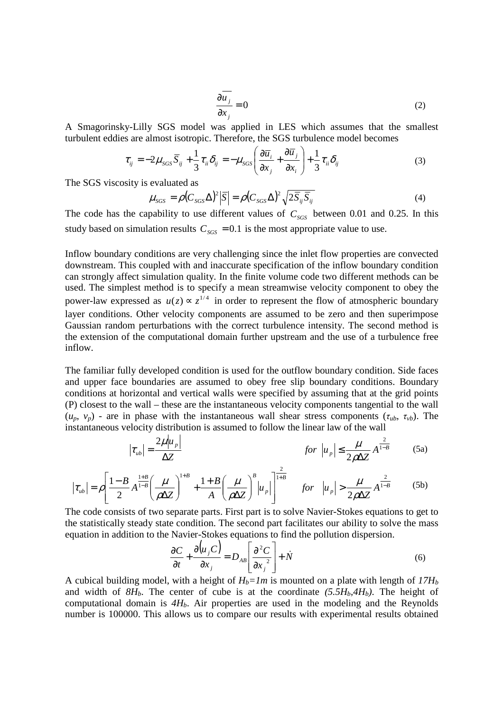$$
\frac{\partial u_j}{\partial x_j} = 0 \tag{2}
$$

A Smagorinsky-Lilly SGS model was applied in LES which assumes that the smallest turbulent eddies are almost isotropic. Therefore, the SGS turbulence model becomes

$$
\tau_{ij} = -2\mu_{SGS}\overline{S}_{ij} + \frac{1}{3}\tau_{ii}\delta_{ij} = -\mu_{SGS}\left(\frac{\partial \overline{u}_i}{\partial x_j} + \frac{\partial \overline{u}_j}{\partial x_i}\right) + \frac{1}{3}\tau_{ii}\delta_{ij}
$$
(3)

The SGS viscosity is evaluated as

$$
\mu_{SGS} = \rho (C_{SGS} \Delta)^2 |\overline{S}| = \rho (C_{SGS} \Delta)^2 \sqrt{2 \overline{S}_{ij} \overline{S}_{ij}}
$$
(4)

The code has the capability to use different values of  $C_{SGS}$  between 0.01 and 0.25. In this study based on simulation results  $C_{SGS} = 0.1$  is the most appropriate value to use.

Inflow boundary conditions are very challenging since the inlet flow properties are convected downstream. This coupled with and inaccurate specification of the inflow boundary condition can strongly affect simulation quality. In the finite volume code two different methods can be used. The simplest method is to specify a mean streamwise velocity component to obey the power-law expressed as  $u(z) \propto z^{1/4}$  in order to represent the flow of atmospheric boundary layer conditions. Other velocity components are assumed to be zero and then superimpose Gaussian random perturbations with the correct turbulence intensity. The second method is the extension of the computational domain further upstream and the use of a turbulence free inflow.

The familiar fully developed condition is used for the outflow boundary condition. Side faces and upper face boundaries are assumed to obey free slip boundary conditions. Boundary conditions at horizontal and vertical walls were specified by assuming that at the grid points (P) closest to the wall – these are the instantaneous velocity components tangential to the wall  $(u_p, v_p)$  - are in phase with the instantaneous wall shear stress components  $(\tau_{ub}, \tau_{vb})$ . The instantaneous velocity distribution is assumed to follow the linear law of the wall

$$
|\tau_{ub}| = \frac{2\mu |u_p|}{\Delta Z} \qquad \qquad \text{for } |u_p| \le \frac{\mu}{2\rho \Delta Z} A^{\frac{2}{1-B}} \qquad (5a)
$$

$$
\left|\tau_{ub}\right| = \rho \left[\frac{1-B}{2} A^{\frac{1+B}{1-B}} \left(\frac{\mu}{\rho \Delta Z}\right)^{1+B} + \frac{1+B}{A} \left(\frac{\mu}{\rho \Delta Z}\right)^B \left|u_p\right|\right]^{\frac{2}{1+B}} \quad \text{for} \quad \left|u_p\right| > \frac{\mu}{2\rho \Delta Z} A^{\frac{2}{1-B}} \tag{5b}
$$

The code consists of two separate parts. First part is to solve Navier-Stokes equations to get to the statistically steady state condition. The second part facilitates our ability to solve the mass equation in addition to the Navier-Stokes equations to find the pollution dispersion.

$$
\frac{\partial C}{\partial t} + \frac{\partial (u_j C)}{\partial x_j} = D_{AB} \left[ \frac{\partial^2 C}{\partial x_j^2} \right] + \dot{N}
$$
(6)

A cubical building model, with a height of  $H_b = Im$  is mounted on a plate with length of  $17H_b$ and width of  $8H_b$ . The center of cube is at the coordinate  $(5.5H_b, 4H_b)$ . The height of computational domain is *4Hb*. Air properties are used in the modeling and the Reynolds number is 100000. This allows us to compare our results with experimental results obtained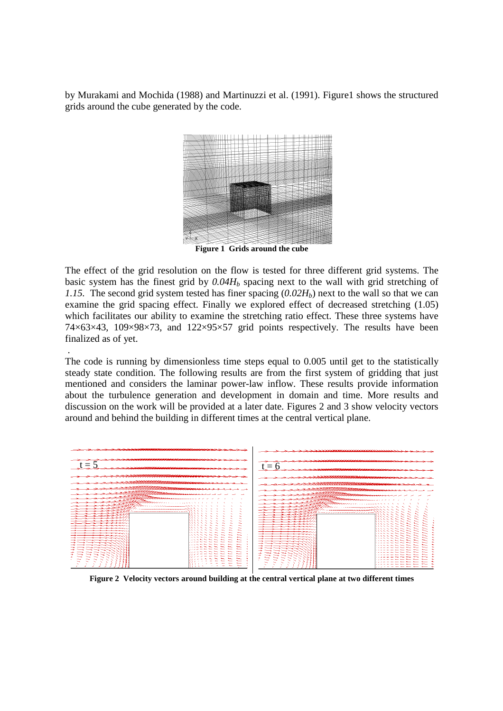by Murakami and Mochida (1988) and Martinuzzi et al. (1991). Figure1 shows the structured grids around the cube generated by the code.



**Figure 1 Grids around the cube** 

The effect of the grid resolution on the flow is tested for three different grid systems. The basic system has the finest grid by *0.04Hb* spacing next to the wall with grid stretching of *1.15.* The second grid system tested has finer spacing (*0.02Hb*) next to the wall so that we can examine the grid spacing effect. Finally we explored effect of decreased stretching (1.05) which facilitates our ability to examine the stretching ratio effect. These three systems have 74×63×43, 109×98×73, and 122×95×57 grid points respectively. The results have been finalized as of yet.

The code is running by dimensionless time steps equal to 0.005 until get to the statistically steady state condition. The following results are from the first system of gridding that just mentioned and considers the laminar power-law inflow. These results provide information about the turbulence generation and development in domain and time. More results and discussion on the work will be provided at a later date. Figures 2 and 3 show velocity vectors around and behind the building in different times at the central vertical plane.

.



**Figure 2 Velocity vectors around building at the central vertical plane at two different times**